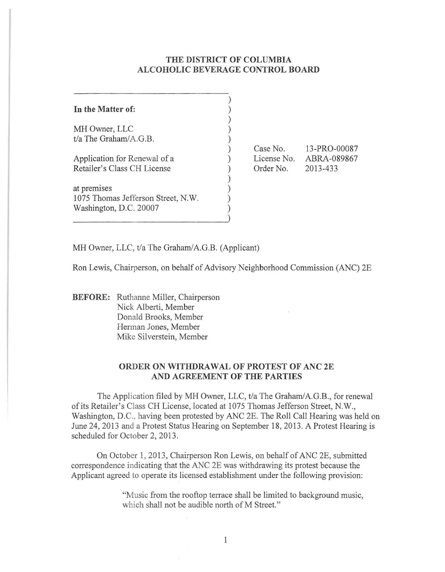## **THE DISTRICT OF COLUMBIA ALCOHOLIC BEVERAGE CONTROL BOARD**

| In the Matter of:                  |  |
|------------------------------------|--|
| MH Owner, LLC                      |  |
| t/a The Graham/A.G.B.              |  |
| Application for Renewal of a       |  |
| Retailer's Class CH License        |  |
| at premises                        |  |
| 1075 Thomas Jefferson Street, N.W. |  |
| Washington, D.C. 20007             |  |
|                                    |  |

Case No. License No. Order No. 13-PRO-00087 ABRA-089867 2013-433

MH Owner, LLC, t/a The Graham/A.G.B. (Applicant)

Ron Lewis, Chairperson, on behalf of Advisory Neighborhood Commission (ANC) 2E

**BEFORE:** Ruthanne Miller, Chairperson Nick Alberti, Member Donald Brooks, Member Herman Jones, Member Mike Silverstein, Member

## **ORDER ON WITHDRAWAL OF PROTEST OF ANC 2E AND AGREEMENT OF THE PARTIES**

The Application filed by MH Owner, LLC, t/a The Graham/A.G.B., for renewal of its Retailer's Class CH License, located at 1075 Thomas Jefferson Street, N.W., Washington, D.C., having been protested by ANC 2E. The Roll Call Hearing was held on June 24, 2013 and a Protest Status Hearing on September 18, 2013. A Protest Hearing is scheduled for October 2, 2013.

On October 1, 2013, Chairperson Ron Lewis, on behalf of ANC 2E, submitted correspondence indicating that the ANC 2E was withdrawing its protest because the Applicant agreed to operate its licensed establishment under the following provision:

> "Music from the rooftop terrace shall be limited to background music, which shall not be audible north of M Street."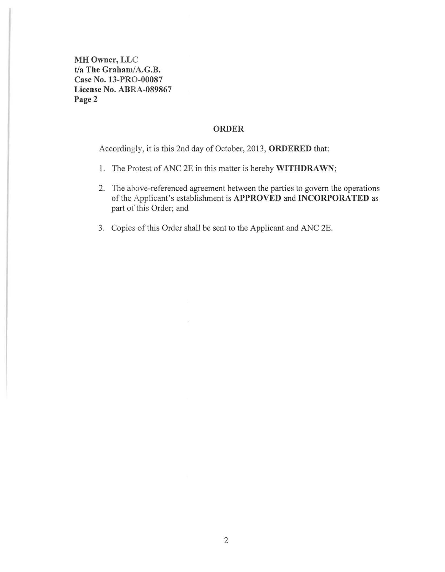**MH** Owner, LLC t/a The Graham/A.G.B. Case No. 13-PRO-00087 License No. ABRA-089867 Page 2

# ORDER

Accordingly, it is this 2nd day of October, 2013, ORDERED that:

- I. The Protest of ANC 2E in this matter is hereby WITHDRAWN;
- 2. The above-referenced agreement between the parties to govern the operations of the Applicant's establishment is APPROVED and INCORPORATED as part of this Order; and
- 3. Copies of this Order shall be sent to the Applicant and ANC 2E.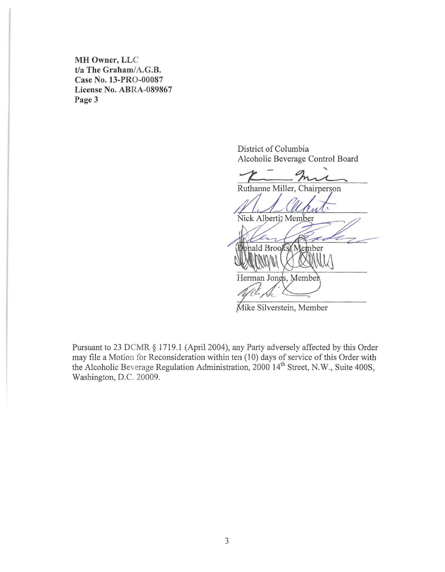**MH** Owner, LLC t/a The Graham/A.G.B. Case No. 13-PRO-00087 License No. ABRA-089867 Page 3

> District of Colwnbia Alcoholic Beverage Control Board

Ruthanne Miller, Chairperson Nick Alberti; Member **IDonald Brooks Member** Herman Jones, Member

Mike Silverstein, Member

Pursuant to 23 DCMR § 1719.1 (April 2004), any Party adversely affected by this Order may file a Motion for Reconsideration within ten (10) days of service of this Order with the Alcoholic Beverage Regulation Administration, 2000 14'h Street, N.W., Suite 400S, Washington, D.C. 20009.